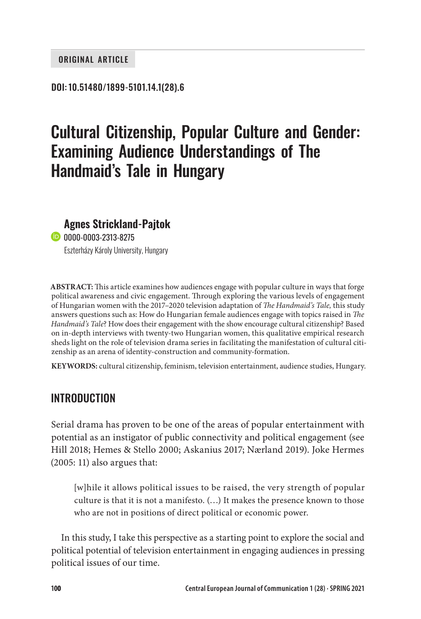#### ORIGINAL ARTICLE

#### DOI: 10.51480/1899-5101.14.1(28).6

# Cultural Citizenship, Popular Culture and Gender: Examining Audience Understandings of The Handmaid's Tale in Hungary

#### **Agnes Strickland-Pajtok**

**B** [0000-0003-2313-8275](https://orcid.org/0000-0003-2313-8275) Eszterházy Károly University, Hungary

**ABSTRACT:** This article examines how audiences engage with popular culture in ways that forge political awareness and civic engagement. Through exploring the various levels of engagement of Hungarian women with the 2017–2020 television adaptation of *The Handmaid's Tale,* this study answers questions such as: How do Hungarian female audiences engage with topics raised in *The Handmaid's Tale*? How does their engagement with the show encourage cultural citizenship? Based on in-depth interviews with twenty-two Hungarian women, this qualitative empirical research sheds light on the role of television drama series in facilitating the manifestation of cultural citizenship as an arena of identity-construction and community-formation.

**KEYWORDS:** cultural citizenship, feminism, television entertainment, audience studies, Hungary.

### INTRODUCTION

Serial drama has proven to be one of the areas of popular entertainment with potential as an instigator of public connectivity and political engagement (see Hill 2018; Hemes & Stello 2000; Askanius 2017; Nærland 2019). Joke Hermes (2005: 11) also argues that:

[w]hile it allows political issues to be raised, the very strength of popular culture is that it is not a manifesto. (…) It makes the presence known to those who are not in positions of direct political or economic power.

In this study, I take this perspective as a starting point to explore the social and political potential of television entertainment in engaging audiences in pressing political issues of our time.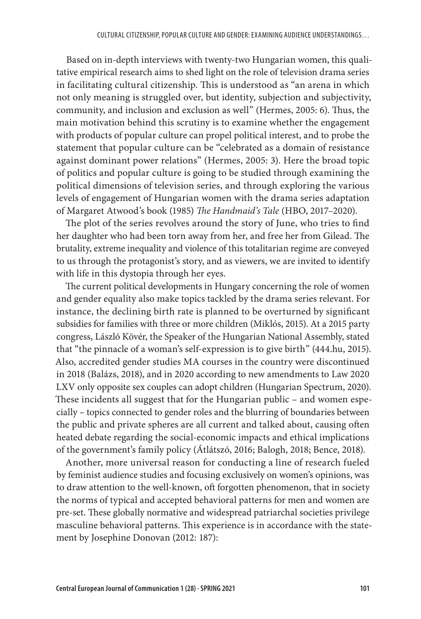Based on in-depth interviews with twenty-two Hungarian women, this qualitative empirical research aims to shed light on the role of television drama series in facilitating cultural citizenship. This is understood as "an arena in which not only meaning is struggled over, but identity, subjection and subjectivity, community, and inclusion and exclusion as well" (Hermes, 2005: 6). Thus, the main motivation behind this scrutiny is to examine whether the engagement with products of popular culture can propel political interest, and to probe the statement that popular culture can be "celebrated as a domain of resistance against dominant power relations" (Hermes, 2005: 3). Here the broad topic of politics and popular culture is going to be studied through examining the political dimensions of television series, and through exploring the various levels of engagement of Hungarian women with the drama series adaptation of Margaret Atwood's book (1985) *The Handmaid's Tale* (HBO, 2017–2020).

The plot of the series revolves around the story of June, who tries to find her daughter who had been torn away from her, and free her from Gilead. The brutality, extreme inequality and violence of this totalitarian regime are conveyed to us through the protagonist's story, and as viewers, we are invited to identify with life in this dystopia through her eyes.

The current political developments in Hungary concerning the role of women and gender equality also make topics tackled by the drama series relevant. For instance, the declining birth rate is planned to be overturned by significant subsidies for families with three or more children (Miklós, 2015). At a 2015 party congress, László Kövér, the Speaker of the Hungarian National Assembly, stated that "the pinnacle of a woman's self-expression is to give birth" (444.hu, 2015). Also, accredited gender studies MA courses in the country were discontinued in 2018 (Balázs, 2018), and in 2020 according to new amendments to Law 2020 LXV only opposite sex couples can adopt children (Hungarian Spectrum, 2020). These incidents all suggest that for the Hungarian public – and women especially – topics connected to gender roles and the blurring of boundaries between the public and private spheres are all current and talked about, causing often heated debate regarding the social-economic impacts and ethical implications of the government's family policy (Átlátszó, 2016; Balogh, 2018; Bence, 2018).

Another, more universal reason for conducting a line of research fueled by feminist audience studies and focusing exclusively on women's opinions, was to draw attention to the well-known, oft forgotten phenomenon, that in society the norms of typical and accepted behavioral patterns for men and women are pre-set. These globally normative and widespread patriarchal societies privilege masculine behavioral patterns. This experience is in accordance with the statement by Josephine Donovan (2012: 187):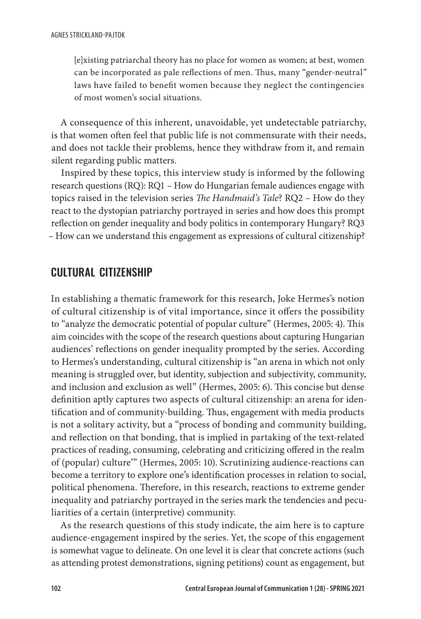[e]xisting patriarchal theory has no place for women as women; at best, women can be incorporated as pale reflections of men. Thus, many "gender-neutral" laws have failed to benefit women because they neglect the contingencies of most women's social situations.

A consequence of this inherent, unavoidable, yet undetectable patriarchy, is that women often feel that public life is not commensurate with their needs, and does not tackle their problems, hence they withdraw from it, and remain silent regarding public matters.

Inspired by these topics, this interview study is informed by the following research questions (RQ): RQ1 – How do Hungarian female audiences engage with topics raised in the television series *The Handmaid's Tale*? RQ2 – How do they react to the dystopian patriarchy portrayed in series and how does this prompt reflection on gender inequality and body politics in contemporary Hungary? RQ3 – How can we understand this engagement as expressions of cultural citizenship?

## CULTURAL CITIZENSHIP

In establishing a thematic framework for this research, Joke Hermes's notion of cultural citizenship is of vital importance, since it offers the possibility to "analyze the democratic potential of popular culture" (Hermes, 2005: 4). This aim coincides with the scope of the research questions about capturing Hungarian audiences' reflections on gender inequality prompted by the series. According to Hermes's understanding, cultural citizenship is "an arena in which not only meaning is struggled over, but identity, subjection and subjectivity, community, and inclusion and exclusion as well" (Hermes, 2005: 6). This concise but dense definition aptly captures two aspects of cultural citizenship: an arena for identification and of community-building. Thus, engagement with media products is not a solitary activity, but a "process of bonding and community building, and reflection on that bonding, that is implied in partaking of the text-related practices of reading, consuming, celebrating and criticizing offered in the realm of (popular) culture'" (Hermes, 2005: 10). Scrutinizing audience-reactions can become a territory to explore one's identification processes in relation to social, political phenomena. Therefore, in this research, reactions to extreme gender inequality and patriarchy portrayed in the series mark the tendencies and peculiarities of a certain (interpretive) community.

As the research questions of this study indicate, the aim here is to capture audience-engagement inspired by the series. Yet, the scope of this engagement is somewhat vague to delineate. On one level it is clear that concrete actions (such as attending protest demonstrations, signing petitions) count as engagement, but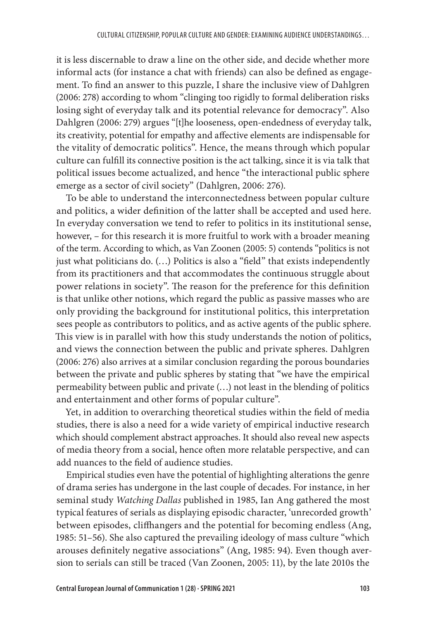it is less discernable to draw a line on the other side, and decide whether more informal acts (for instance a chat with friends) can also be defined as engagement. To find an answer to this puzzle, I share the inclusive view of Dahlgren (2006: 278) according to whom "clinging too rigidly to formal deliberation risks losing sight of everyday talk and its potential relevance for democracy". Also Dahlgren (2006: 279) argues "[t]he looseness, open-endedness of everyday talk, its creativity, potential for empathy and affective elements are indispensable for the vitality of democratic politics". Hence, the means through which popular culture can fulfill its connective position is the act talking, since it is via talk that political issues become actualized, and hence "the interactional public sphere emerge as a sector of civil society" (Dahlgren, 2006: 276).

To be able to understand the interconnectedness between popular culture and politics, a wider definition of the latter shall be accepted and used here. In everyday conversation we tend to refer to politics in its institutional sense, however, – for this research it is more fruitful to work with a broader meaning of the term. According to which, as Van Zoonen (2005: 5) contends "politics is not just what politicians do. (…) Politics is also a "field" that exists independently from its practitioners and that accommodates the continuous struggle about power relations in society". The reason for the preference for this definition is that unlike other notions, which regard the public as passive masses who are only providing the background for institutional politics, this interpretation sees people as contributors to politics, and as active agents of the public sphere. This view is in parallel with how this study understands the notion of politics, and views the connection between the public and private spheres. Dahlgren (2006: 276) also arrives at a similar conclusion regarding the porous boundaries between the private and public spheres by stating that "we have the empirical permeability between public and private (…) not least in the blending of politics and entertainment and other forms of popular culture".

Yet, in addition to overarching theoretical studies within the field of media studies, there is also a need for a wide variety of empirical inductive research which should complement abstract approaches. It should also reveal new aspects of media theory from a social, hence often more relatable perspective, and can add nuances to the field of audience studies.

Empirical studies even have the potential of highlighting alterations the genre of drama series has undergone in the last couple of decades. For instance, in her seminal study *Watching Dallas* published in 1985, Ian Ang gathered the most typical features of serials as displaying episodic character, 'unrecorded growth' between episodes, cliffhangers and the potential for becoming endless (Ang, 1985: 51–56). She also captured the prevailing ideology of mass culture "which arouses definitely negative associations" (Ang, 1985: 94). Even though aversion to serials can still be traced (Van Zoonen, 2005: 11), by the late 2010s the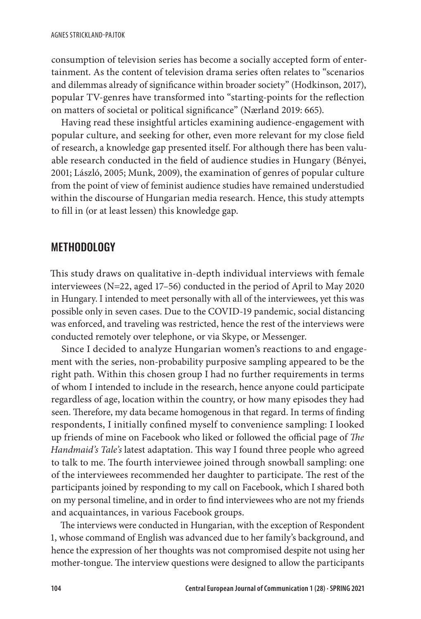consumption of television series has become a socially accepted form of entertainment. As the content of television drama series often relates to "scenarios and dilemmas already of significance within broader society" (Hodkinson, 2017), popular TV-genres have transformed into "starting-points for the reflection on matters of societal or political significance" (Nærland 2019: 665).

Having read these insightful articles examining audience-engagement with popular culture, and seeking for other, even more relevant for my close field of research, a knowledge gap presented itself. For although there has been valuable research conducted in the field of audience studies in Hungary (Bényei, 2001; László, 2005; Munk, 2009), the examination of genres of popular culture from the point of view of feminist audience studies have remained understudied within the discourse of Hungarian media research. Hence, this study attempts to fill in (or at least lessen) this knowledge gap.

# METHODOLOGY

This study draws on qualitative in-depth individual interviews with female interviewees (N=22, aged 17–56) conducted in the period of April to May 2020 in Hungary. I intended to meet personally with all of the interviewees, yet this was possible only in seven cases. Due to the COVID-19 pandemic, social distancing was enforced, and traveling was restricted, hence the rest of the interviews were conducted remotely over telephone, or via Skype, or Messenger.

Since I decided to analyze Hungarian women's reactions to and engagement with the series, non-probability purposive sampling appeared to be the right path. Within this chosen group I had no further requirements in terms of whom I intended to include in the research, hence anyone could participate regardless of age, location within the country, or how many episodes they had seen. Therefore, my data became homogenous in that regard. In terms of finding respondents, I initially confined myself to convenience sampling: I looked up friends of mine on Facebook who liked or followed the official page of *The Handmaid's Tale's* latest adaptation. This way I found three people who agreed to talk to me. The fourth interviewee joined through snowball sampling: one of the interviewees recommended her daughter to participate. The rest of the participants joined by responding to my call on Facebook, which I shared both on my personal timeline, and in order to find interviewees who are not my friends and acquaintances, in various Facebook groups.

The interviews were conducted in Hungarian, with the exception of Respondent 1, whose command of English was advanced due to her family's background, and hence the expression of her thoughts was not compromised despite not using her mother-tongue. The interview questions were designed to allow the participants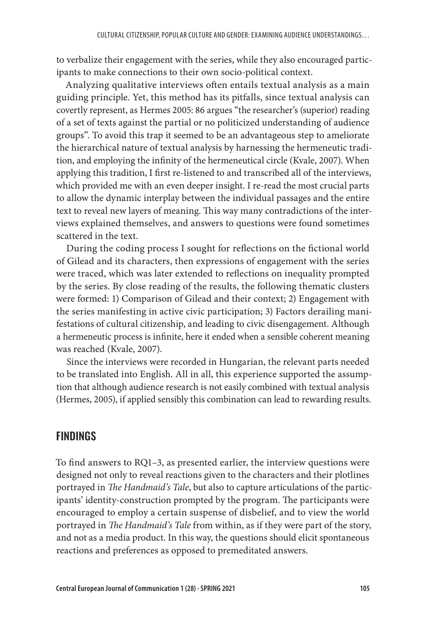to verbalize their engagement with the series, while they also encouraged participants to make connections to their own socio-political context.

Analyzing qualitative interviews often entails textual analysis as a main guiding principle. Yet, this method has its pitfalls, since textual analysis can covertly represent, as Hermes 2005: 86 argues "the researcher's (superior) reading of a set of texts against the partial or no politicized understanding of audience groups". To avoid this trap it seemed to be an advantageous step to ameliorate the hierarchical nature of textual analysis by harnessing the hermeneutic tradition, and employing the infinity of the hermeneutical circle (Kvale, 2007). When applying this tradition, I first re-listened to and transcribed all of the interviews, which provided me with an even deeper insight. I re-read the most crucial parts to allow the dynamic interplay between the individual passages and the entire text to reveal new layers of meaning. This way many contradictions of the interviews explained themselves, and answers to questions were found sometimes scattered in the text.

During the coding process I sought for reflections on the fictional world of Gilead and its characters, then expressions of engagement with the series were traced, which was later extended to reflections on inequality prompted by the series. By close reading of the results, the following thematic clusters were formed: 1) Comparison of Gilead and their context; 2) Engagement with the series manifesting in active civic participation; 3) Factors derailing manifestations of cultural citizenship, and leading to civic disengagement. Although a hermeneutic process is infinite, here it ended when a sensible coherent meaning was reached (Kvale, 2007).

Since the interviews were recorded in Hungarian, the relevant parts needed to be translated into English. All in all, this experience supported the assumption that although audience research is not easily combined with textual analysis (Hermes, 2005), if applied sensibly this combination can lead to rewarding results.

# FINDINGS

To find answers to RQ1–3, as presented earlier, the interview questions were designed not only to reveal reactions given to the characters and their plotlines portrayed in *The Handmaid's Tale*, but also to capture articulations of the participants' identity-construction prompted by the program. The participants were encouraged to employ a certain suspense of disbelief, and to view the world portrayed in *The Handmaid's Tale* from within, as if they were part of the story, and not as a media product. In this way, the questions should elicit spontaneous reactions and preferences as opposed to premeditated answers.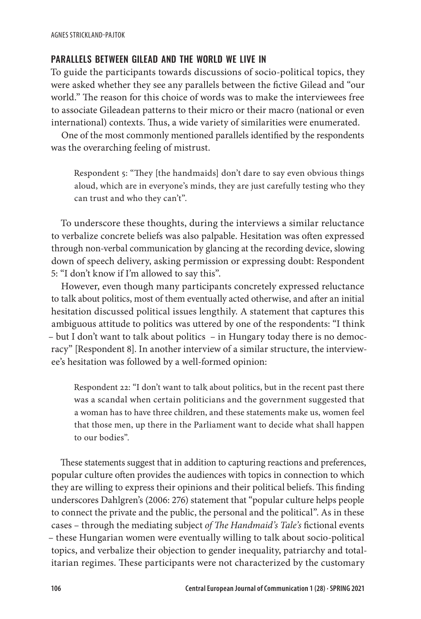#### PARALLELS BETWEEN GILEAD AND THE WORLD WE LIVE IN

To guide the participants towards discussions of socio-political topics, they were asked whether they see any parallels between the fictive Gilead and "our world." The reason for this choice of words was to make the interviewees free to associate Gileadean patterns to their micro or their macro (national or even international) contexts. Thus, a wide variety of similarities were enumerated.

One of the most commonly mentioned parallels identified by the respondents was the overarching feeling of mistrust.

Respondent 5: "They [the handmaids] don't dare to say even obvious things aloud, which are in everyone's minds, they are just carefully testing who they can trust and who they can't".

To underscore these thoughts, during the interviews a similar reluctance to verbalize concrete beliefs was also palpable. Hesitation was often expressed through non-verbal communication by glancing at the recording device, slowing down of speech delivery, asking permission or expressing doubt: Respondent 5: "I don't know if I'm allowed to say this".

However, even though many participants concretely expressed reluctance to talk about politics, most of them eventually acted otherwise, and after an initial hesitation discussed political issues lengthily. A statement that captures this ambiguous attitude to politics was uttered by one of the respondents: "I think – but I don't want to talk about politics – in Hungary today there is no democracy" [Respondent 8]. In another interview of a similar structure, the interviewee's hesitation was followed by a well-formed opinion:

Respondent 22: "I don't want to talk about politics, but in the recent past there was a scandal when certain politicians and the government suggested that a woman has to have three children, and these statements make us, women feel that those men, up there in the Parliament want to decide what shall happen to our bodies".

These statements suggest that in addition to capturing reactions and preferences, popular culture often provides the audiences with topics in connection to which they are willing to express their opinions and their political beliefs. This finding underscores Dahlgren's (2006: 276) statement that "popular culture helps people to connect the private and the public, the personal and the political". As in these cases – through the mediating subject *of The Handmaid's Tale's* fictional events – these Hungarian women were eventually willing to talk about socio-political topics, and verbalize their objection to gender inequality, patriarchy and totalitarian regimes. These participants were not characterized by the customary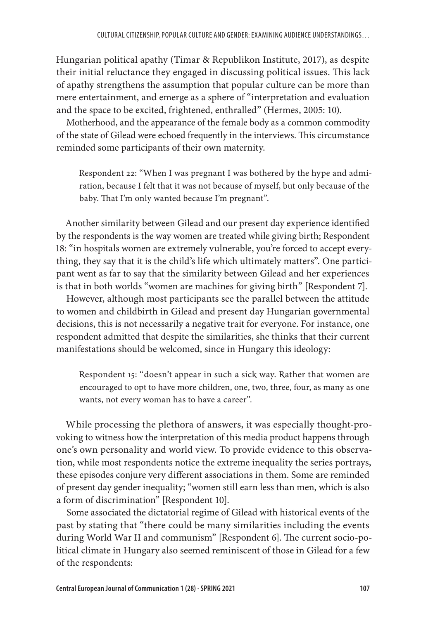Hungarian political apathy (Timar & Republikon Institute, 2017), as despite their initial reluctance they engaged in discussing political issues. This lack of apathy strengthens the assumption that popular culture can be more than mere entertainment, and emerge as a sphere of "interpretation and evaluation and the space to be excited, frightened, enthralled" (Hermes, 2005: 10).

Motherhood, and the appearance of the female body as a common commodity of the state of Gilead were echoed frequently in the interviews. This circumstance reminded some participants of their own maternity.

Respondent 22: "When I was pregnant I was bothered by the hype and admiration, because I felt that it was not because of myself, but only because of the baby. That I'm only wanted because I'm pregnant".

Another similarity between Gilead and our present day experience identified by the respondents is the way women are treated while giving birth; Respondent 18: "in hospitals women are extremely vulnerable, you're forced to accept everything, they say that it is the child's life which ultimately matters". One participant went as far to say that the similarity between Gilead and her experiences is that in both worlds "women are machines for giving birth" [Respondent 7].

However, although most participants see the parallel between the attitude to women and childbirth in Gilead and present day Hungarian governmental decisions, this is not necessarily a negative trait for everyone. For instance, one respondent admitted that despite the similarities, she thinks that their current manifestations should be welcomed, since in Hungary this ideology:

Respondent 15: "doesn't appear in such a sick way. Rather that women are encouraged to opt to have more children, one, two, three, four, as many as one wants, not every woman has to have a career".

While processing the plethora of answers, it was especially thought-provoking to witness how the interpretation of this media product happens through one's own personality and world view. To provide evidence to this observation, while most respondents notice the extreme inequality the series portrays, these episodes conjure very different associations in them. Some are reminded of present day gender inequality; "women still earn less than men, which is also a form of discrimination" [Respondent 10].

Some associated the dictatorial regime of Gilead with historical events of the past by stating that "there could be many similarities including the events during World War II and communism" [Respondent 6]. The current socio-political climate in Hungary also seemed reminiscent of those in Gilead for a few of the respondents: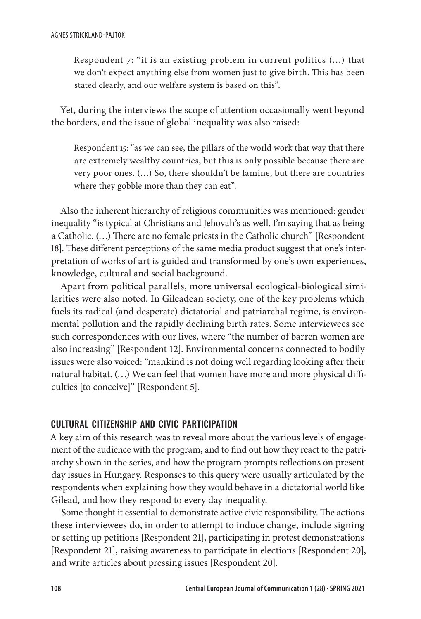Respondent 7: "it is an existing problem in current politics (…) that we don't expect anything else from women just to give birth. This has been stated clearly, and our welfare system is based on this".

Yet, during the interviews the scope of attention occasionally went beyond the borders, and the issue of global inequality was also raised:

Respondent 15: "as we can see, the pillars of the world work that way that there are extremely wealthy countries, but this is only possible because there are very poor ones. (…) So, there shouldn't be famine, but there are countries where they gobble more than they can eat".

Also the inherent hierarchy of religious communities was mentioned: gender inequality "is typical at Christians and Jehovah's as well. I'm saying that as being a Catholic. (…) There are no female priests in the Catholic church" [Respondent 18]. These different perceptions of the same media product suggest that one's interpretation of works of art is guided and transformed by one's own experiences, knowledge, cultural and social background.

Apart from political parallels, more universal ecological-biological similarities were also noted. In Gileadean society, one of the key problems which fuels its radical (and desperate) dictatorial and patriarchal regime, is environmental pollution and the rapidly declining birth rates. Some interviewees see such correspondences with our lives, where "the number of barren women are also increasing" [Respondent 12]. Environmental concerns connected to bodily issues were also voiced: "mankind is not doing well regarding looking after their natural habitat. (…) We can feel that women have more and more physical difficulties [to conceive]" [Respondent 5].

#### CULTURAL CITIZENSHIP AND CIVIC PARTICIPATION

A key aim of this research was to reveal more about the various levels of engagement of the audience with the program, and to find out how they react to the patriarchy shown in the series, and how the program prompts reflections on present day issues in Hungary. Responses to this query were usually articulated by the respondents when explaining how they would behave in a dictatorial world like Gilead, and how they respond to every day inequality.

Some thought it essential to demonstrate active civic responsibility. The actions these interviewees do, in order to attempt to induce change, include signing or setting up petitions [Respondent 21], participating in protest demonstrations [Respondent 21], raising awareness to participate in elections [Respondent 20], and write articles about pressing issues [Respondent 20].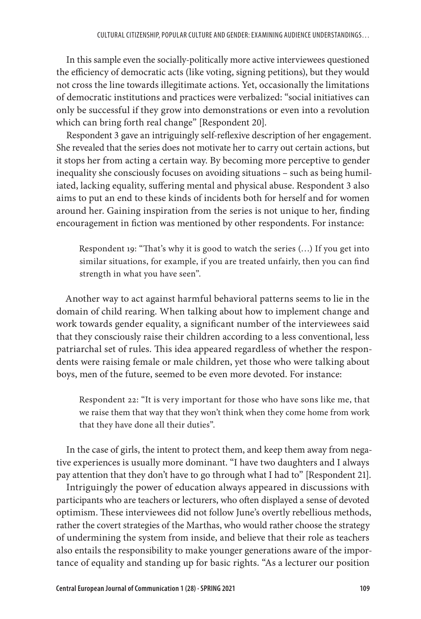In this sample even the socially-politically more active interviewees questioned the efficiency of democratic acts (like voting, signing petitions), but they would not cross the line towards illegitimate actions. Yet, occasionally the limitations of democratic institutions and practices were verbalized: "social initiatives can only be successful if they grow into demonstrations or even into a revolution which can bring forth real change" [Respondent 20].

Respondent 3 gave an intriguingly self-reflexive description of her engagement. She revealed that the series does not motivate her to carry out certain actions, but it stops her from acting a certain way. By becoming more perceptive to gender inequality she consciously focuses on avoiding situations – such as being humiliated, lacking equality, suffering mental and physical abuse. Respondent 3 also aims to put an end to these kinds of incidents both for herself and for women around her. Gaining inspiration from the series is not unique to her, finding encouragement in fiction was mentioned by other respondents. For instance:

Respondent 19: "That's why it is good to watch the series (…) If you get into similar situations, for example, if you are treated unfairly, then you can find strength in what you have seen".

Another way to act against harmful behavioral patterns seems to lie in the domain of child rearing. When talking about how to implement change and work towards gender equality, a significant number of the interviewees said that they consciously raise their children according to a less conventional, less patriarchal set of rules. This idea appeared regardless of whether the respondents were raising female or male children, yet those who were talking about boys, men of the future, seemed to be even more devoted. For instance:

Respondent 22: "It is very important for those who have sons like me, that we raise them that way that they won't think when they come home from work that they have done all their duties".

In the case of girls, the intent to protect them, and keep them away from negative experiences is usually more dominant. "I have two daughters and I always pay attention that they don't have to go through what I had to" [Respondent 21].

Intriguingly the power of education always appeared in discussions with participants who are teachers or lecturers, who often displayed a sense of devoted optimism. These interviewees did not follow June's overtly rebellious methods, rather the covert strategies of the Marthas, who would rather choose the strategy of undermining the system from inside, and believe that their role as teachers also entails the responsibility to make younger generations aware of the importance of equality and standing up for basic rights. "As a lecturer our position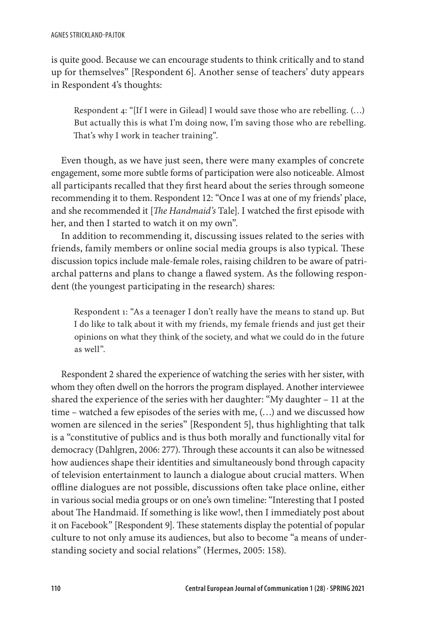is quite good. Because we can encourage students to think critically and to stand up for themselves" [Respondent 6]. Another sense of teachers' duty appears in Respondent 4's thoughts:

Respondent 4: "[If I were in Gilead] I would save those who are rebelling. (…) But actually this is what I'm doing now, I'm saving those who are rebelling. That's why I work in teacher training".

Even though, as we have just seen, there were many examples of concrete engagement, some more subtle forms of participation were also noticeable. Almost all participants recalled that they first heard about the series through someone recommending it to them. Respondent 12: "Once I was at one of my friends' place, and she recommended it [*The Handmaid's* Tale]. I watched the first episode with her, and then I started to watch it on my own".

In addition to recommending it, discussing issues related to the series with friends, family members or online social media groups is also typical. These discussion topics include male-female roles, raising children to be aware of patriarchal patterns and plans to change a flawed system. As the following respondent (the youngest participating in the research) shares:

Respondent 1: "As a teenager I don't really have the means to stand up. But I do like to talk about it with my friends, my female friends and just get their opinions on what they think of the society, and what we could do in the future as well".

Respondent 2 shared the experience of watching the series with her sister, with whom they often dwell on the horrors the program displayed. Another interviewee shared the experience of the series with her daughter: "My daughter – 11 at the time – watched a few episodes of the series with me, (…) and we discussed how women are silenced in the series" [Respondent 5], thus highlighting that talk is a "constitutive of publics and is thus both morally and functionally vital for democracy (Dahlgren, 2006: 277). Through these accounts it can also be witnessed how audiences shape their identities and simultaneously bond through capacity of television entertainment to launch a dialogue about crucial matters. When offline dialogues are not possible, discussions often take place online, either in various social media groups or on one's own timeline: "Interesting that I posted about The Handmaid. If something is like wow!, then I immediately post about it on Facebook" [Respondent 9]. These statements display the potential of popular culture to not only amuse its audiences, but also to become "a means of understanding society and social relations" (Hermes, 2005: 158).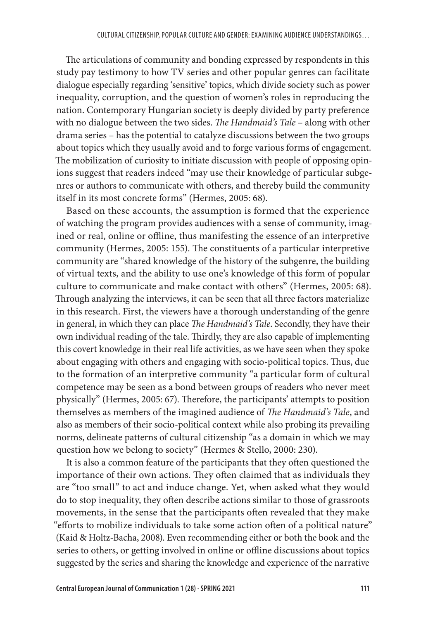The articulations of community and bonding expressed by respondents in this study pay testimony to how TV series and other popular genres can facilitate dialogue especially regarding 'sensitive' topics, which divide society such as power inequality, corruption, and the question of women's roles in reproducing the nation. Contemporary Hungarian society is deeply divided by party preference with no dialogue between the two sides. *The Handmaid's Tale* – along with other drama series – has the potential to catalyze discussions between the two groups about topics which they usually avoid and to forge various forms of engagement. The mobilization of curiosity to initiate discussion with people of opposing opinions suggest that readers indeed "may use their knowledge of particular subgenres or authors to communicate with others, and thereby build the community itself in its most concrete forms" (Hermes, 2005: 68).

Based on these accounts, the assumption is formed that the experience of watching the program provides audiences with a sense of community, imagined or real, online or offline, thus manifesting the essence of an interpretive community (Hermes, 2005: 155). The constituents of a particular interpretive community are "shared knowledge of the history of the subgenre, the building of virtual texts, and the ability to use one's knowledge of this form of popular culture to communicate and make contact with others" (Hermes, 2005: 68). Through analyzing the interviews, it can be seen that all three factors materialize in this research. First, the viewers have a thorough understanding of the genre in general, in which they can place *The Handmaid's Tale*. Secondly, they have their own individual reading of the tale. Thirdly, they are also capable of implementing this covert knowledge in their real life activities, as we have seen when they spoke about engaging with others and engaging with socio-political topics. Thus, due to the formation of an interpretive community "a particular form of cultural competence may be seen as a bond between groups of readers who never meet physically" (Hermes, 2005: 67). Therefore, the participants' attempts to position themselves as members of the imagined audience of *The Handmaid's Tale*, and also as members of their socio-political context while also probing its prevailing norms, delineate patterns of cultural citizenship "as a domain in which we may question how we belong to society" (Hermes & Stello, 2000: 230).

It is also a common feature of the participants that they often questioned the importance of their own actions. They often claimed that as individuals they are "too small" to act and induce change. Yet, when asked what they would do to stop inequality, they often describe actions similar to those of grassroots movements, in the sense that the participants often revealed that they make "efforts to mobilize individuals to take some action often of a political nature" (Kaid & Holtz-Bacha, 2008). Even recommending either or both the book and the series to others, or getting involved in online or offline discussions about topics suggested by the series and sharing the knowledge and experience of the narrative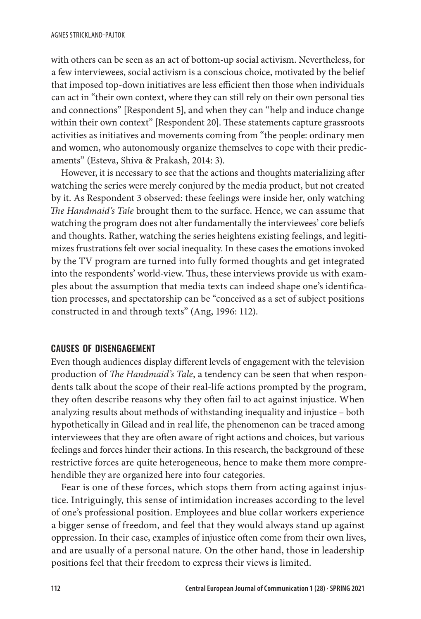with others can be seen as an act of bottom-up social activism. Nevertheless, for a few interviewees, social activism is a conscious choice, motivated by the belief that imposed top-down initiatives are less efficient then those when individuals can act in "their own context, where they can still rely on their own personal ties and connections" [Respondent 5], and when they can "help and induce change within their own context" [Respondent 20]. These statements capture grassroots activities as initiatives and movements coming from "the people: ordinary men and women, who autonomously organize themselves to cope with their predicaments" (Esteva, Shiva & Prakash, 2014: 3).

However, it is necessary to see that the actions and thoughts materializing after watching the series were merely conjured by the media product, but not created by it. As Respondent 3 observed: these feelings were inside her, only watching *The Handmaid's Tale* brought them to the surface. Hence, we can assume that watching the program does not alter fundamentally the interviewees' core beliefs and thoughts. Rather, watching the series heightens existing feelings, and legitimizes frustrations felt over social inequality. In these cases the emotions invoked by the TV program are turned into fully formed thoughts and get integrated into the respondents' world-view. Thus, these interviews provide us with examples about the assumption that media texts can indeed shape one's identification processes, and spectatorship can be "conceived as a set of subject positions constructed in and through texts" (Ang, 1996: 112).

#### CAUSES OF DISENGAGEMENT

Even though audiences display different levels of engagement with the television production of *The Handmaid's Tale*, a tendency can be seen that when respondents talk about the scope of their real-life actions prompted by the program, they often describe reasons why they often fail to act against injustice. When analyzing results about methods of withstanding inequality and injustice – both hypothetically in Gilead and in real life, the phenomenon can be traced among interviewees that they are often aware of right actions and choices, but various feelings and forces hinder their actions. In this research, the background of these restrictive forces are quite heterogeneous, hence to make them more comprehendible they are organized here into four categories.

Fear is one of these forces, which stops them from acting against injustice. Intriguingly, this sense of intimidation increases according to the level of one's professional position. Employees and blue collar workers experience a bigger sense of freedom, and feel that they would always stand up against oppression. In their case, examples of injustice often come from their own lives, and are usually of a personal nature. On the other hand, those in leadership positions feel that their freedom to express their views is limited.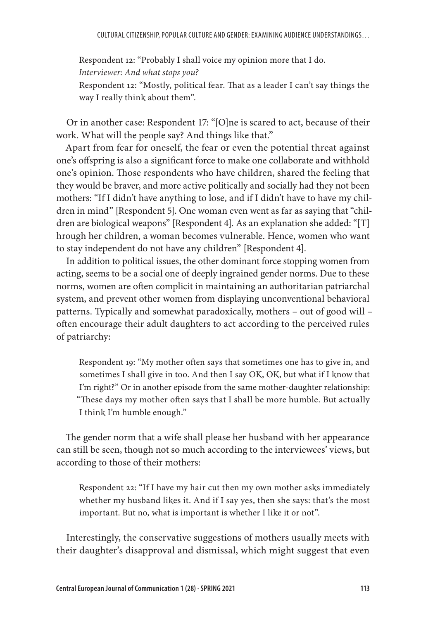Respondent 12: "Probably I shall voice my opinion more that I do. *Interviewer: And what stops you?* Respondent 12: "Mostly, political fear. That as a leader I can't say things the way I really think about them".

Or in another case: Respondent 17: "[O]ne is scared to act, because of their work. What will the people say? And things like that."

Apart from fear for oneself, the fear or even the potential threat against one's offspring is also a significant force to make one collaborate and withhold one's opinion. Those respondents who have children, shared the feeling that they would be braver, and more active politically and socially had they not been mothers: "If I didn't have anything to lose, and if I didn't have to have my children in mind" [Respondent 5]. One woman even went as far as saying that "children are biological weapons" [Respondent 4]. As an explanation she added: "[T] hrough her children, a woman becomes vulnerable. Hence, women who want to stay independent do not have any children" [Respondent 4].

In addition to political issues, the other dominant force stopping women from acting, seems to be a social one of deeply ingrained gender norms. Due to these norms, women are often complicit in maintaining an authoritarian patriarchal system, and prevent other women from displaying unconventional behavioral patterns. Typically and somewhat paradoxically, mothers – out of good will – often encourage their adult daughters to act according to the perceived rules of patriarchy:

Respondent 19: "My mother often says that sometimes one has to give in, and sometimes I shall give in too. And then I say OK, OK, but what if I know that I'm right?" Or in another episode from the same mother-daughter relationship: "These days my mother often says that I shall be more humble. But actually I think I'm humble enough."

The gender norm that a wife shall please her husband with her appearance can still be seen, though not so much according to the interviewees' views, but according to those of their mothers:

Respondent 22: "If I have my hair cut then my own mother asks immediately whether my husband likes it. And if I say yes, then she says: that's the most important. But no, what is important is whether I like it or not".

Interestingly, the conservative suggestions of mothers usually meets with their daughter's disapproval and dismissal, which might suggest that even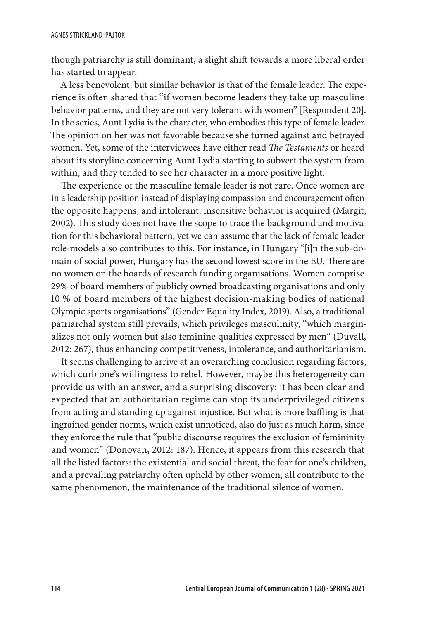though patriarchy is still dominant, a slight shift towards a more liberal order has started to appear.

A less benevolent, but similar behavior is that of the female leader. The experience is often shared that "if women become leaders they take up masculine behavior patterns, and they are not very tolerant with women" [Respondent 20]. In the series, Aunt Lydia is the character, who embodies this type of female leader. The opinion on her was not favorable because she turned against and betrayed women. Yet, some of the interviewees have either read *The Testaments* or heard about its storyline concerning Aunt Lydia starting to subvert the system from within, and they tended to see her character in a more positive light.

The experience of the masculine female leader is not rare. Once women are in a leadership position instead of displaying compassion and encouragement often the opposite happens, and intolerant, insensitive behavior is acquired (Margit, 2002). This study does not have the scope to trace the background and motivation for this behavioral pattern, yet we can assume that the lack of female leader role-models also contributes to this. For instance, in Hungary "[i]n the sub-domain of social power, Hungary has the second lowest score in the EU. There are no women on the boards of research funding organisations. Women comprise 29% of board members of publicly owned broadcasting organisations and only 10 % of board members of the highest decision-making bodies of national Olympic sports organisations" (Gender Equality Index, 2019). Also, a traditional patriarchal system still prevails, which privileges masculinity, "which marginalizes not only women but also feminine qualities expressed by men" (Duvall, 2012: 267), thus enhancing competitiveness, intolerance, and authoritarianism.

It seems challenging to arrive at an overarching conclusion regarding factors, which curb one's willingness to rebel. However, maybe this heterogeneity can provide us with an answer, and a surprising discovery: it has been clear and expected that an authoritarian regime can stop its underprivileged citizens from acting and standing up against injustice. But what is more baffling is that ingrained gender norms, which exist unnoticed, also do just as much harm, since they enforce the rule that "public discourse requires the exclusion of femininity and women" (Donovan, 2012: 187). Hence, it appears from this research that all the listed factors: the existential and social threat, the fear for one's children, and a prevailing patriarchy often upheld by other women, all contribute to the same phenomenon, the maintenance of the traditional silence of women.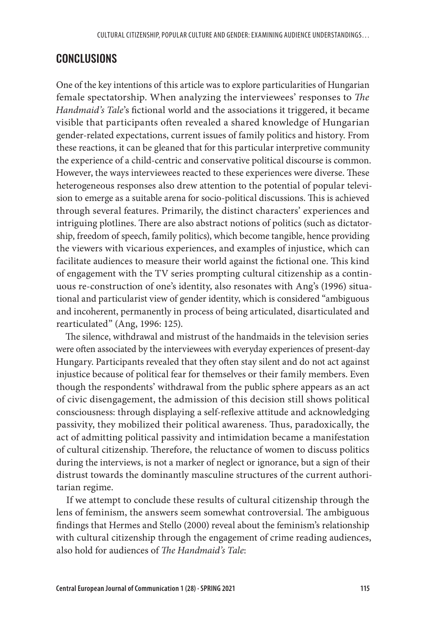# CONCLUSIONS

One of the key intentions of this article was to explore particularities of Hungarian female spectatorship. When analyzing the interviewees' responses to *The Handmaid's Tale*'s fictional world and the associations it triggered, it became visible that participants often revealed a shared knowledge of Hungarian gender-related expectations, current issues of family politics and history. From these reactions, it can be gleaned that for this particular interpretive community the experience of a child-centric and conservative political discourse is common. However, the ways interviewees reacted to these experiences were diverse. These heterogeneous responses also drew attention to the potential of popular television to emerge as a suitable arena for socio-political discussions. This is achieved through several features. Primarily, the distinct characters' experiences and intriguing plotlines. There are also abstract notions of politics (such as dictatorship, freedom of speech, family politics), which become tangible, hence providing the viewers with vicarious experiences, and examples of injustice, which can facilitate audiences to measure their world against the fictional one. This kind of engagement with the TV series prompting cultural citizenship as a continuous re-construction of one's identity, also resonates with Ang's (1996) situational and particularist view of gender identity, which is considered "ambiguous and incoherent, permanently in process of being articulated, disarticulated and rearticulated" (Ang, 1996: 125).

The silence, withdrawal and mistrust of the handmaids in the television series were often associated by the interviewees with everyday experiences of present-day Hungary. Participants revealed that they often stay silent and do not act against injustice because of political fear for themselves or their family members. Even though the respondents' withdrawal from the public sphere appears as an act of civic disengagement, the admission of this decision still shows political consciousness: through displaying a self-reflexive attitude and acknowledging passivity, they mobilized their political awareness. Thus, paradoxically, the act of admitting political passivity and intimidation became a manifestation of cultural citizenship. Therefore, the reluctance of women to discuss politics during the interviews, is not a marker of neglect or ignorance, but a sign of their distrust towards the dominantly masculine structures of the current authoritarian regime.

If we attempt to conclude these results of cultural citizenship through the lens of feminism, the answers seem somewhat controversial. The ambiguous findings that Hermes and Stello (2000) reveal about the feminism's relationship with cultural citizenship through the engagement of crime reading audiences, also hold for audiences of *The Handmaid's Tale*: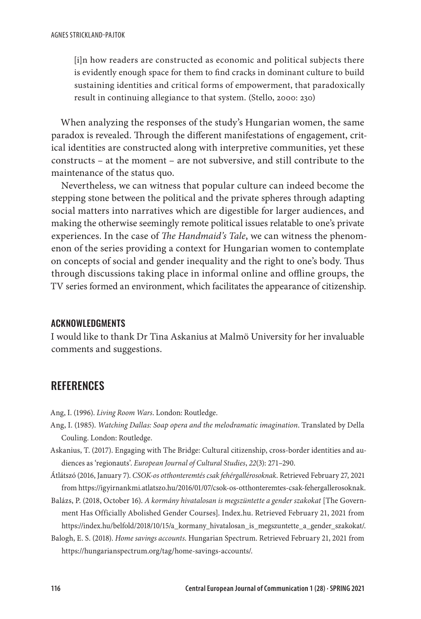[i]n how readers are constructed as economic and political subjects there is evidently enough space for them to find cracks in dominant culture to build sustaining identities and critical forms of empowerment, that paradoxically result in continuing allegiance to that system. (Stello, 2000: 230)

When analyzing the responses of the study's Hungarian women, the same paradox is revealed. Through the different manifestations of engagement, critical identities are constructed along with interpretive communities, yet these constructs – at the moment – are not subversive, and still contribute to the maintenance of the status quo.

Nevertheless, we can witness that popular culture can indeed become the stepping stone between the political and the private spheres through adapting social matters into narratives which are digestible for larger audiences, and making the otherwise seemingly remote political issues relatable to one's private experiences. In the case of *The Handmaid's Tale*, we can witness the phenomenon of the series providing a context for Hungarian women to contemplate on concepts of social and gender inequality and the right to one's body. Thus through discussions taking place in informal online and offline groups, the TV series formed an environment, which facilitates the appearance of citizenship.

#### ACKNOWLEDGMENTS

I would like to thank Dr Tina Askanius at Malmö University for her invaluable comments and suggestions.

# **REFERENCES**

Ang, I. (1996). *Living Room Wars*. London: Routledge.

- Ang, I. (1985). *Watching Dallas: Soap opera and the melodramatic imagination*. Translated by Della Couling. London: Routledge.
- Askanius, T. (2017). Engaging with The Bridge: Cultural citizenship, cross-border identities and audiences as 'regionauts'. *European Journal of Cultural Studies*, *22*(3): 271–290.
- Átlátszó (2016, January 7). *CSOK-os otthonteremtés csak fehérgallérosoknak*. Retrieved February 27, 2021 from https://igyirnankmi.atlatszo.hu/2016/01/07/csok-os-otthonteremtes-csak-fehergallerosoknak.
- Balázs, P. (2018, October 16). *A kormány hivatalosan is megszüntette a gender szakokat* [The Government Has Officially Abolished Gender Courses]. Index.hu. Retrieved February 21, 2021 from https://index.hu/belfold/2018/10/15/a\_kormany\_hivatalosan\_is\_megszuntette\_a\_gender\_szakokat/.
- Balogh, E. S. (2018). *Home savings accounts*. Hungarian Spectrum. Retrieved February 21, 2021 from https://hungarianspectrum.org/tag/home-savings-accounts/.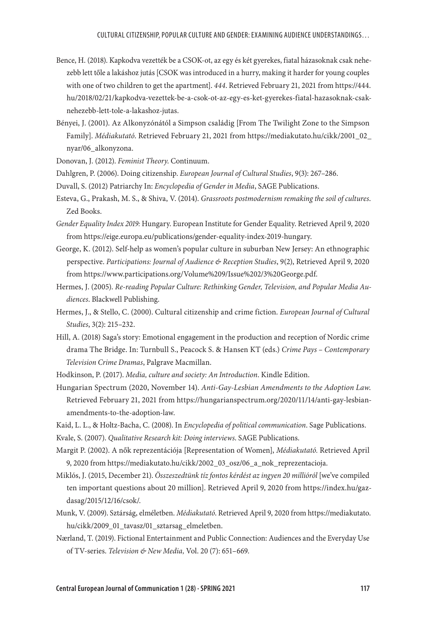- Bence, H. (2018). Kapkodva vezették be a CSOK-ot, az egy és két gyerekes, fiatal házasoknak csak nehezebb lett tőle a lakáshoz jutás [CSOK was introduced in a hurry, making it harder for young couples with one of two children to get the apartment]. *444*. Retrieved February 21, 2021 from https://444. hu/2018/02/21/kapkodva-vezettek-be-a-csok-ot-az-egy-es-ket-gyerekes-fiatal-hazasoknak-csaknehezebb-lett-tole-a-lakashoz-jutas.
- Bényei, J. (2001). Az Alkonyzónától a Simpson családig [From The Twilight Zone to the Simpson Family]. *Médiakutató*. Retrieved February 21, 2021 from https://mediakutato.hu/cikk/2001\_02\_ nyar/06\_alkonyzona.
- Donovan, J. (2012). *Feminist Theory*. Continuum.
- Dahlgren, P. (2006). Doing citizenship. *European Journal of Cultural Studies*, 9(3): 267–286.
- Duvall, S. (2012) Patriarchy In: *Encyclopedia of Gender in Media*, SAGE Publications.
- Esteva, G., Prakash, M. S., & Shiva, V. (2014). *Grassroots postmodernism remaking the soil of cultures*. Zed Books.
- *Gender Equality Index 2019:* Hungary. European Institute for Gender Equality. Retrieved April 9, 2020 from https://eige.europa.eu/publications/gender-equality-index-2019-hungary.
- George, K. (2012). Self-help as women's popular culture in suburban New Jersey: An ethnographic perspective. *Participations: Journal of Audience & Reception Studies*, 9(2), Retrieved April 9, 2020 from https://www.participations.org/Volume%209/Issue%202/3%20George.pdf.
- Hermes, J. (2005). *Re-reading Popular Culture: Rethinking Gender, Television, and Popular Media Audiences*. Blackwell Publishing.
- Hermes, J., & Stello, C. (2000). Cultural citizenship and crime fiction. *European Journal of Cultural Studies*, 3(2): 215–232.
- Hill, A. (2018) Saga's story: Emotional engagement in the production and reception of Nordic crime drama The Bridge. In: Turnbull S., Peacock S. & Hansen KT (eds.) *Crime Pays – Contemporary Television Crime Dramas*, Palgrave Macmillan.
- Hodkinson, P. (2017). *Media, culture and society: An Introduction*. Kindle Edition.
- Hungarian Spectrum (2020, November 14). *Anti-Gay-Lesbian Amendments to the Adoption Law*. Retrieved February 21, 2021 from https://hungarianspectrum.org/2020/11/14/anti-gay-lesbianamendments-to-the-adoption-law.
- Kaid, L. L., & Holtz-Bacha, C. (2008). In *Encyclopedia of political communication*. Sage Publications.

Kvale, S. (2007). *Qualitative Research kit: Doing interviews*. SAGE Publications.

- Margit P. (2002). A nők reprezentációja [Representation of Women], *Médiakutató.* Retrieved April 9, 2020 from https://mediakutato.hu/cikk/2002\_03\_osz/06\_a\_nok\_reprezentacioja.
- Miklós, J. (2015, December 21). *Összeszedtünk tíz fontos kérdést az ingyen 20 millióról* [we've compiled ten important questions about 20 million]. Retrieved April 9, 2020 from https://index.hu/gazdasag/2015/12/16/csok/.
- Munk, V. (2009). Sztárság, elméletben. *Médiakutató*. Retrieved April 9, 2020 from https://mediakutato. hu/cikk/2009\_01\_tavasz/01\_sztarsag\_elmeletben.
- Nærland, T. (2019). Fictional Entertainment and Public Connection: Audiences and the Everyday Use of TV-series. *Television & New Media,* Vol. 20 (7): 651–669.